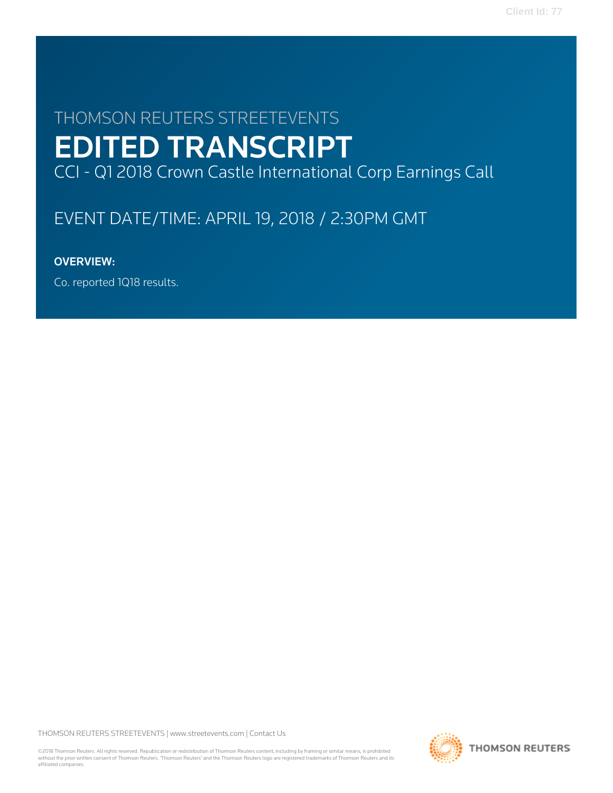# THOMSON REUTERS STREETEVENTS EDITED TRANSCRIPT CCI - Q1 2018 Crown Castle International Corp Earnings Call

# EVENT DATE/TIME: APRIL 19, 2018 / 2:30PM GMT

# OVERVIEW:

Co. reported 1Q18 results.

THOMSON REUTERS STREETEVENTS | [www.streetevents.com](http://www.streetevents.com) | [Contact Us](http://www010.streetevents.com/contact.asp)

©2018 Thomson Reuters. All rights reserved. Republication or redistribution of Thomson Reuters content, including by framing or similar means, is prohibited without the prior written consent of Thomson Reuters. 'Thomson Reuters' and the Thomson Reuters logo are registered trademarks of Thomson Reuters and its affiliated companies.

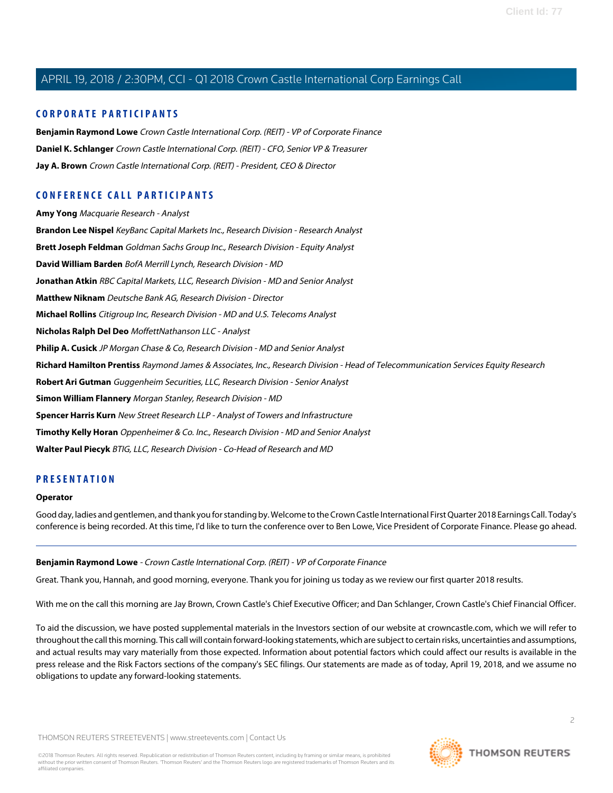# **CORPORATE PARTICIPANTS**

**[Benjamin Raymond Lowe](#page-1-0)** Crown Castle International Corp. (REIT) - VP of Corporate Finance **[Daniel K. Schlanger](#page-3-0)** Crown Castle International Corp. (REIT) - CFO, Senior VP & Treasurer **[Jay A. Brown](#page-2-0)** Crown Castle International Corp. (REIT) - President, CEO & Director

# **CONFERENCE CALL PARTICIPANTS**

**[Amy Yong](#page-13-0)** Macquarie Research - Analyst **[Brandon Lee Nispel](#page-19-0)** KeyBanc Capital Markets Inc., Research Division - Research Analyst **[Brett Joseph Feldman](#page-5-0)** Goldman Sachs Group Inc., Research Division - Equity Analyst **[David William Barden](#page-6-0)** BofA Merrill Lynch, Research Division - MD **[Jonathan Atkin](#page-7-0)** RBC Capital Markets, LLC, Research Division - MD and Senior Analyst **[Matthew Niknam](#page-10-0)** Deutsche Bank AG, Research Division - Director **[Michael Rollins](#page-11-0)** Citigroup Inc, Research Division - MD and U.S. Telecoms Analyst **[Nicholas Ralph Del Deo](#page-10-1)** MoffettNathanson LLC - Analyst **[Philip A. Cusick](#page-18-0)** JP Morgan Chase & Co, Research Division - MD and Senior Analyst **[Richard Hamilton Prentiss](#page-8-0)** Raymond James & Associates, Inc., Research Division - Head of Telecommunication Services Equity Research **[Robert Ari Gutman](#page-14-0)** Guggenheim Securities, LLC, Research Division - Senior Analyst **[Simon William Flannery](#page-6-1)** Morgan Stanley, Research Division - MD **[Spencer Harris Kurn](#page-15-0)** New Street Research LLP - Analyst of Towers and Infrastructure **[Timothy Kelly Horan](#page-16-0)** Oppenheimer & Co. Inc., Research Division - MD and Senior Analyst **[Walter Paul Piecyk](#page-12-0)** BTIG, LLC, Research Division - Co-Head of Research and MD

# **PRESENTATION**

#### **Operator**

<span id="page-1-0"></span>Good day, ladies and gentlemen, and thank you for standing by. Welcome to the Crown Castle International First Quarter 2018 Earnings Call. Today's conference is being recorded. At this time, I'd like to turn the conference over to Ben Lowe, Vice President of Corporate Finance. Please go ahead.

#### **Benjamin Raymond Lowe** - Crown Castle International Corp. (REIT) - VP of Corporate Finance

Great. Thank you, Hannah, and good morning, everyone. Thank you for joining us today as we review our first quarter 2018 results.

With me on the call this morning are Jay Brown, Crown Castle's Chief Executive Officer; and Dan Schlanger, Crown Castle's Chief Financial Officer.

To aid the discussion, we have posted supplemental materials in the Investors section of our website at crowncastle.com, which we will refer to throughout the call this morning. This call will contain forward-looking statements, which are subject to certain risks, uncertainties and assumptions, and actual results may vary materially from those expected. Information about potential factors which could affect our results is available in the press release and the Risk Factors sections of the company's SEC filings. Our statements are made as of today, April 19, 2018, and we assume no obligations to update any forward-looking statements.

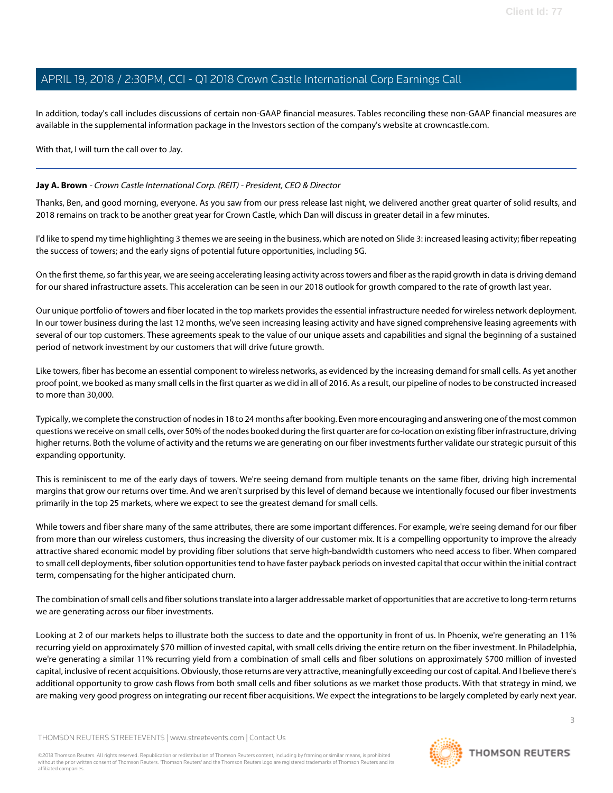In addition, today's call includes discussions of certain non-GAAP financial measures. Tables reconciling these non-GAAP financial measures are available in the supplemental information package in the Investors section of the company's website at crowncastle.com.

With that, I will turn the call over to Jay.

#### <span id="page-2-0"></span>**Jay A. Brown** - Crown Castle International Corp. (REIT) - President, CEO & Director

Thanks, Ben, and good morning, everyone. As you saw from our press release last night, we delivered another great quarter of solid results, and 2018 remains on track to be another great year for Crown Castle, which Dan will discuss in greater detail in a few minutes.

I'd like to spend my time highlighting 3 themes we are seeing in the business, which are noted on Slide 3: increased leasing activity; fiber repeating the success of towers; and the early signs of potential future opportunities, including 5G.

On the first theme, so far this year, we are seeing accelerating leasing activity across towers and fiber as the rapid growth in data is driving demand for our shared infrastructure assets. This acceleration can be seen in our 2018 outlook for growth compared to the rate of growth last year.

Our unique portfolio of towers and fiber located in the top markets provides the essential infrastructure needed for wireless network deployment. In our tower business during the last 12 months, we've seen increasing leasing activity and have signed comprehensive leasing agreements with several of our top customers. These agreements speak to the value of our unique assets and capabilities and signal the beginning of a sustained period of network investment by our customers that will drive future growth.

Like towers, fiber has become an essential component to wireless networks, as evidenced by the increasing demand for small cells. As yet another proof point, we booked as many small cells in the first quarter as we did in all of 2016. As a result, our pipeline of nodes to be constructed increased to more than 30,000.

Typically, we complete the construction of nodes in 18 to 24 months after booking. Even more encouraging and answering one of the most common questions we receive on small cells, over 50% of the nodes booked during the first quarter are for co-location on existing fiber infrastructure, driving higher returns. Both the volume of activity and the returns we are generating on our fiber investments further validate our strategic pursuit of this expanding opportunity.

This is reminiscent to me of the early days of towers. We're seeing demand from multiple tenants on the same fiber, driving high incremental margins that grow our returns over time. And we aren't surprised by this level of demand because we intentionally focused our fiber investments primarily in the top 25 markets, where we expect to see the greatest demand for small cells.

While towers and fiber share many of the same attributes, there are some important differences. For example, we're seeing demand for our fiber from more than our wireless customers, thus increasing the diversity of our customer mix. It is a compelling opportunity to improve the already attractive shared economic model by providing fiber solutions that serve high-bandwidth customers who need access to fiber. When compared to small cell deployments, fiber solution opportunities tend to have faster payback periods on invested capital that occur within the initial contract term, compensating for the higher anticipated churn.

The combination of small cells and fiber solutions translate into a larger addressable market of opportunities that are accretive to long-term returns we are generating across our fiber investments.

Looking at 2 of our markets helps to illustrate both the success to date and the opportunity in front of us. In Phoenix, we're generating an 11% recurring yield on approximately \$70 million of invested capital, with small cells driving the entire return on the fiber investment. In Philadelphia, we're generating a similar 11% recurring yield from a combination of small cells and fiber solutions on approximately \$700 million of invested capital, inclusive of recent acquisitions. Obviously, those returns are very attractive, meaningfully exceeding our cost of capital. And I believe there's additional opportunity to grow cash flows from both small cells and fiber solutions as we market those products. With that strategy in mind, we are making very good progress on integrating our recent fiber acquisitions. We expect the integrations to be largely completed by early next year.

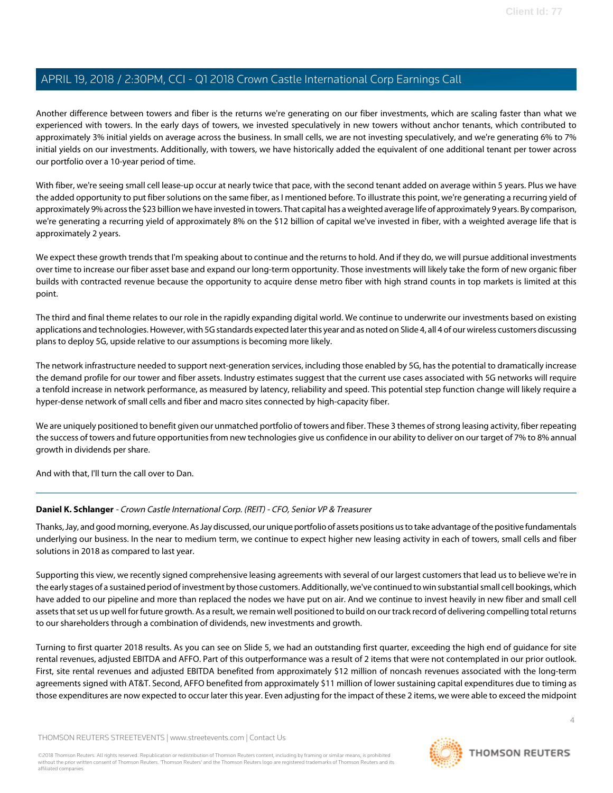Another difference between towers and fiber is the returns we're generating on our fiber investments, which are scaling faster than what we experienced with towers. In the early days of towers, we invested speculatively in new towers without anchor tenants, which contributed to approximately 3% initial yields on average across the business. In small cells, we are not investing speculatively, and we're generating 6% to 7% initial yields on our investments. Additionally, with towers, we have historically added the equivalent of one additional tenant per tower across our portfolio over a 10-year period of time.

With fiber, we're seeing small cell lease-up occur at nearly twice that pace, with the second tenant added on average within 5 years. Plus we have the added opportunity to put fiber solutions on the same fiber, as I mentioned before. To illustrate this point, we're generating a recurring yield of approximately 9% across the \$23 billion we have invested in towers. That capital has a weighted average life of approximately 9 years. By comparison, we're generating a recurring yield of approximately 8% on the \$12 billion of capital we've invested in fiber, with a weighted average life that is approximately 2 years.

We expect these growth trends that I'm speaking about to continue and the returns to hold. And if they do, we will pursue additional investments over time to increase our fiber asset base and expand our long-term opportunity. Those investments will likely take the form of new organic fiber builds with contracted revenue because the opportunity to acquire dense metro fiber with high strand counts in top markets is limited at this point.

The third and final theme relates to our role in the rapidly expanding digital world. We continue to underwrite our investments based on existing applications and technologies. However, with 5G standards expected later this year and as noted on Slide 4, all 4 of our wireless customers discussing plans to deploy 5G, upside relative to our assumptions is becoming more likely.

The network infrastructure needed to support next-generation services, including those enabled by 5G, has the potential to dramatically increase the demand profile for our tower and fiber assets. Industry estimates suggest that the current use cases associated with 5G networks will require a tenfold increase in network performance, as measured by latency, reliability and speed. This potential step function change will likely require a hyper-dense network of small cells and fiber and macro sites connected by high-capacity fiber.

We are uniquely positioned to benefit given our unmatched portfolio of towers and fiber. These 3 themes of strong leasing activity, fiber repeating the success of towers and future opportunities from new technologies give us confidence in our ability to deliver on our target of 7% to 8% annual growth in dividends per share.

<span id="page-3-0"></span>And with that, I'll turn the call over to Dan.

# **Daniel K. Schlanger** - Crown Castle International Corp. (REIT) - CFO, Senior VP & Treasurer

Thanks, Jay, and good morning, everyone. As Jay discussed, our unique portfolio of assets positions us to take advantage of the positive fundamentals underlying our business. In the near to medium term, we continue to expect higher new leasing activity in each of towers, small cells and fiber solutions in 2018 as compared to last year.

Supporting this view, we recently signed comprehensive leasing agreements with several of our largest customers that lead us to believe we're in the early stages of a sustained period of investment by those customers. Additionally, we've continued to win substantial small cell bookings, which have added to our pipeline and more than replaced the nodes we have put on air. And we continue to invest heavily in new fiber and small cell assets that set us up well for future growth. As a result, we remain well positioned to build on our track record of delivering compelling total returns to our shareholders through a combination of dividends, new investments and growth.

Turning to first quarter 2018 results. As you can see on Slide 5, we had an outstanding first quarter, exceeding the high end of guidance for site rental revenues, adjusted EBITDA and AFFO. Part of this outperformance was a result of 2 items that were not contemplated in our prior outlook. First, site rental revenues and adjusted EBITDA benefited from approximately \$12 million of noncash revenues associated with the long-term agreements signed with AT&T. Second, AFFO benefited from approximately \$11 million of lower sustaining capital expenditures due to timing as those expenditures are now expected to occur later this year. Even adjusting for the impact of these 2 items, we were able to exceed the midpoint

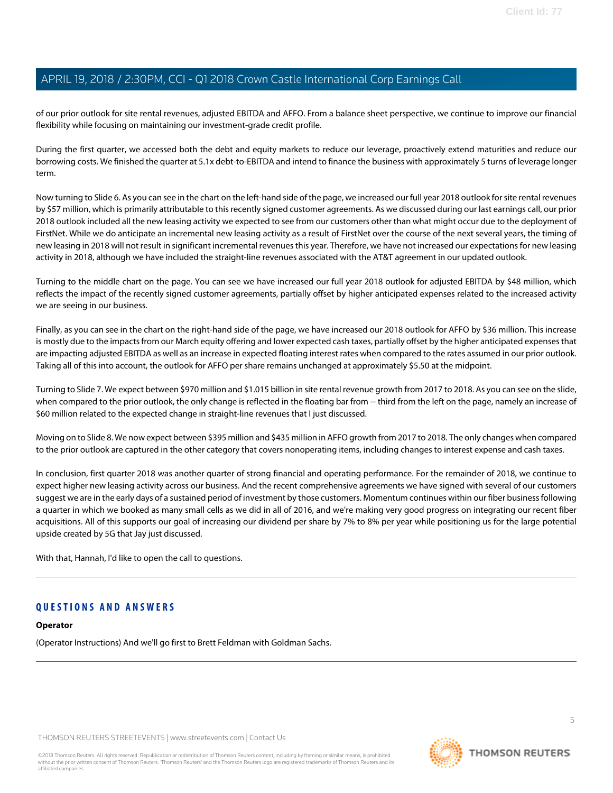of our prior outlook for site rental revenues, adjusted EBITDA and AFFO. From a balance sheet perspective, we continue to improve our financial flexibility while focusing on maintaining our investment-grade credit profile.

During the first quarter, we accessed both the debt and equity markets to reduce our leverage, proactively extend maturities and reduce our borrowing costs. We finished the quarter at 5.1x debt-to-EBITDA and intend to finance the business with approximately 5 turns of leverage longer term.

Now turning to Slide 6. As you can see in the chart on the left-hand side of the page, we increased our full year 2018 outlook for site rental revenues by \$57 million, which is primarily attributable to this recently signed customer agreements. As we discussed during our last earnings call, our prior 2018 outlook included all the new leasing activity we expected to see from our customers other than what might occur due to the deployment of FirstNet. While we do anticipate an incremental new leasing activity as a result of FirstNet over the course of the next several years, the timing of new leasing in 2018 will not result in significant incremental revenues this year. Therefore, we have not increased our expectations for new leasing activity in 2018, although we have included the straight-line revenues associated with the AT&T agreement in our updated outlook.

Turning to the middle chart on the page. You can see we have increased our full year 2018 outlook for adjusted EBITDA by \$48 million, which reflects the impact of the recently signed customer agreements, partially offset by higher anticipated expenses related to the increased activity we are seeing in our business.

Finally, as you can see in the chart on the right-hand side of the page, we have increased our 2018 outlook for AFFO by \$36 million. This increase is mostly due to the impacts from our March equity offering and lower expected cash taxes, partially offset by the higher anticipated expenses that are impacting adjusted EBITDA as well as an increase in expected floating interest rates when compared to the rates assumed in our prior outlook. Taking all of this into account, the outlook for AFFO per share remains unchanged at approximately \$5.50 at the midpoint.

Turning to Slide 7. We expect between \$970 million and \$1.015 billion in site rental revenue growth from 2017 to 2018. As you can see on the slide, when compared to the prior outlook, the only change is reflected in the floating bar from -- third from the left on the page, namely an increase of \$60 million related to the expected change in straight-line revenues that I just discussed.

Moving on to Slide 8. We now expect between \$395 million and \$435 million in AFFO growth from 2017 to 2018. The only changes when compared to the prior outlook are captured in the other category that covers nonoperating items, including changes to interest expense and cash taxes.

In conclusion, first quarter 2018 was another quarter of strong financial and operating performance. For the remainder of 2018, we continue to expect higher new leasing activity across our business. And the recent comprehensive agreements we have signed with several of our customers suggest we are in the early days of a sustained period of investment by those customers. Momentum continues within our fiber business following a quarter in which we booked as many small cells as we did in all of 2016, and we're making very good progress on integrating our recent fiber acquisitions. All of this supports our goal of increasing our dividend per share by 7% to 8% per year while positioning us for the large potential upside created by 5G that Jay just discussed.

With that, Hannah, I'd like to open the call to questions.

# **QUESTIONS AND ANSWERS**

#### **Operator**

(Operator Instructions) And we'll go first to Brett Feldman with Goldman Sachs.

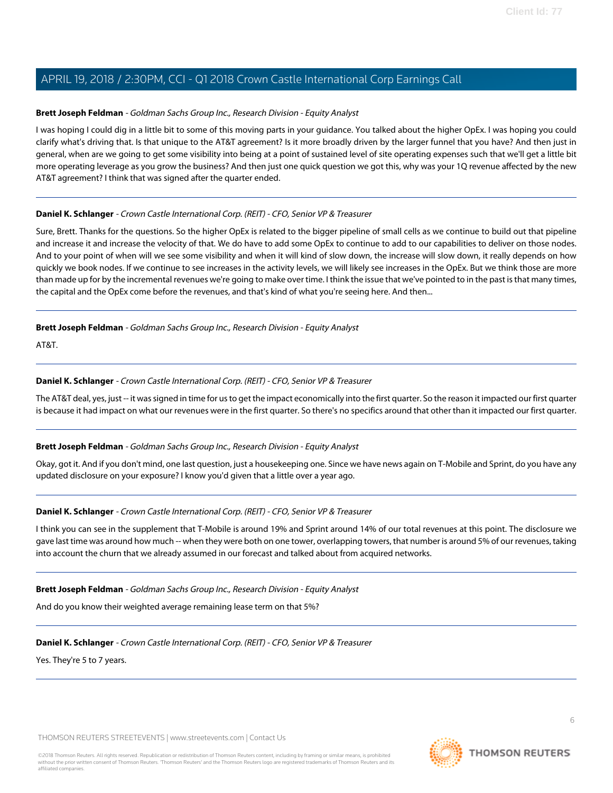## <span id="page-5-0"></span>**Brett Joseph Feldman** - Goldman Sachs Group Inc., Research Division - Equity Analyst

I was hoping I could dig in a little bit to some of this moving parts in your guidance. You talked about the higher OpEx. I was hoping you could clarify what's driving that. Is that unique to the AT&T agreement? Is it more broadly driven by the larger funnel that you have? And then just in general, when are we going to get some visibility into being at a point of sustained level of site operating expenses such that we'll get a little bit more operating leverage as you grow the business? And then just one quick question we got this, why was your 1Q revenue affected by the new AT&T agreement? I think that was signed after the quarter ended.

#### **Daniel K. Schlanger** - Crown Castle International Corp. (REIT) - CFO, Senior VP & Treasurer

Sure, Brett. Thanks for the questions. So the higher OpEx is related to the bigger pipeline of small cells as we continue to build out that pipeline and increase it and increase the velocity of that. We do have to add some OpEx to continue to add to our capabilities to deliver on those nodes. And to your point of when will we see some visibility and when it will kind of slow down, the increase will slow down, it really depends on how quickly we book nodes. If we continue to see increases in the activity levels, we will likely see increases in the OpEx. But we think those are more than made up for by the incremental revenues we're going to make over time. I think the issue that we've pointed to in the past is that many times, the capital and the OpEx come before the revenues, and that's kind of what you're seeing here. And then...

#### **Brett Joseph Feldman** - Goldman Sachs Group Inc., Research Division - Equity Analyst

AT&T.

#### **Daniel K. Schlanger** - Crown Castle International Corp. (REIT) - CFO, Senior VP & Treasurer

The AT&T deal, yes, just -- it was signed in time for us to get the impact economically into the first quarter. So the reason it impacted our first quarter is because it had impact on what our revenues were in the first quarter. So there's no specifics around that other than it impacted our first quarter.

# **Brett Joseph Feldman** - Goldman Sachs Group Inc., Research Division - Equity Analyst

Okay, got it. And if you don't mind, one last question, just a housekeeping one. Since we have news again on T-Mobile and Sprint, do you have any updated disclosure on your exposure? I know you'd given that a little over a year ago.

# **Daniel K. Schlanger** - Crown Castle International Corp. (REIT) - CFO, Senior VP & Treasurer

I think you can see in the supplement that T-Mobile is around 19% and Sprint around 14% of our total revenues at this point. The disclosure we gave last time was around how much -- when they were both on one tower, overlapping towers, that number is around 5% of our revenues, taking into account the churn that we already assumed in our forecast and talked about from acquired networks.

#### **Brett Joseph Feldman** - Goldman Sachs Group Inc., Research Division - Equity Analyst

And do you know their weighted average remaining lease term on that 5%?

# **Daniel K. Schlanger** - Crown Castle International Corp. (REIT) - CFO, Senior VP & Treasurer

Yes. They're 5 to 7 years.

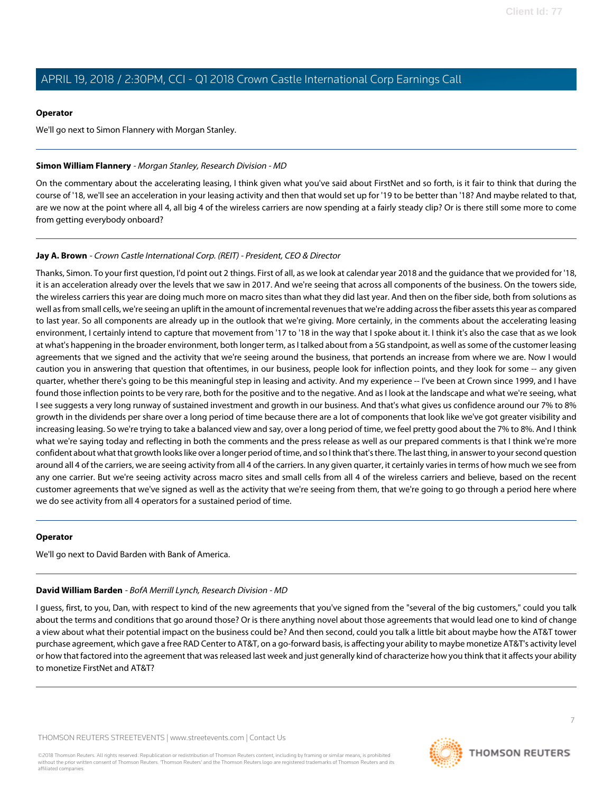#### **Operator**

We'll go next to Simon Flannery with Morgan Stanley.

## <span id="page-6-1"></span>**Simon William Flannery** - Morgan Stanley, Research Division - MD

On the commentary about the accelerating leasing, I think given what you've said about FirstNet and so forth, is it fair to think that during the course of '18, we'll see an acceleration in your leasing activity and then that would set up for '19 to be better than '18? And maybe related to that, are we now at the point where all 4, all big 4 of the wireless carriers are now spending at a fairly steady clip? Or is there still some more to come from getting everybody onboard?

# **Jay A. Brown** - Crown Castle International Corp. (REIT) - President, CEO & Director

Thanks, Simon. To your first question, I'd point out 2 things. First of all, as we look at calendar year 2018 and the guidance that we provided for '18, it is an acceleration already over the levels that we saw in 2017. And we're seeing that across all components of the business. On the towers side, the wireless carriers this year are doing much more on macro sites than what they did last year. And then on the fiber side, both from solutions as well as from small cells, we're seeing an uplift in the amount of incremental revenues that we're adding across the fiber assets this year as compared to last year. So all components are already up in the outlook that we're giving. More certainly, in the comments about the accelerating leasing environment, I certainly intend to capture that movement from '17 to '18 in the way that I spoke about it. I think it's also the case that as we look at what's happening in the broader environment, both longer term, as I talked about from a 5G standpoint, as well as some of the customer leasing agreements that we signed and the activity that we're seeing around the business, that portends an increase from where we are. Now I would caution you in answering that question that oftentimes, in our business, people look for inflection points, and they look for some -- any given quarter, whether there's going to be this meaningful step in leasing and activity. And my experience -- I've been at Crown since 1999, and I have found those inflection points to be very rare, both for the positive and to the negative. And as I look at the landscape and what we're seeing, what I see suggests a very long runway of sustained investment and growth in our business. And that's what gives us confidence around our 7% to 8% growth in the dividends per share over a long period of time because there are a lot of components that look like we've got greater visibility and increasing leasing. So we're trying to take a balanced view and say, over a long period of time, we feel pretty good about the 7% to 8%. And I think what we're saying today and reflecting in both the comments and the press release as well as our prepared comments is that I think we're more confident about what that growth looks like over a longer period of time, and so I think that's there. The last thing, in answer to your second question around all 4 of the carriers, we are seeing activity from all 4 of the carriers. In any given quarter, it certainly varies in terms of how much we see from any one carrier. But we're seeing activity across macro sites and small cells from all 4 of the wireless carriers and believe, based on the recent customer agreements that we've signed as well as the activity that we're seeing from them, that we're going to go through a period here where we do see activity from all 4 operators for a sustained period of time.

#### <span id="page-6-0"></span>**Operator**

We'll go next to David Barden with Bank of America.

# **David William Barden** - BofA Merrill Lynch, Research Division - MD

I guess, first, to you, Dan, with respect to kind of the new agreements that you've signed from the "several of the big customers," could you talk about the terms and conditions that go around those? Or is there anything novel about those agreements that would lead one to kind of change a view about what their potential impact on the business could be? And then second, could you talk a little bit about maybe how the AT&T tower purchase agreement, which gave a free RAD Center to AT&T, on a go-forward basis, is affecting your ability to maybe monetize AT&T's activity level or how that factored into the agreement that was released last week and just generally kind of characterize how you think that it affects your ability to monetize FirstNet and AT&T?

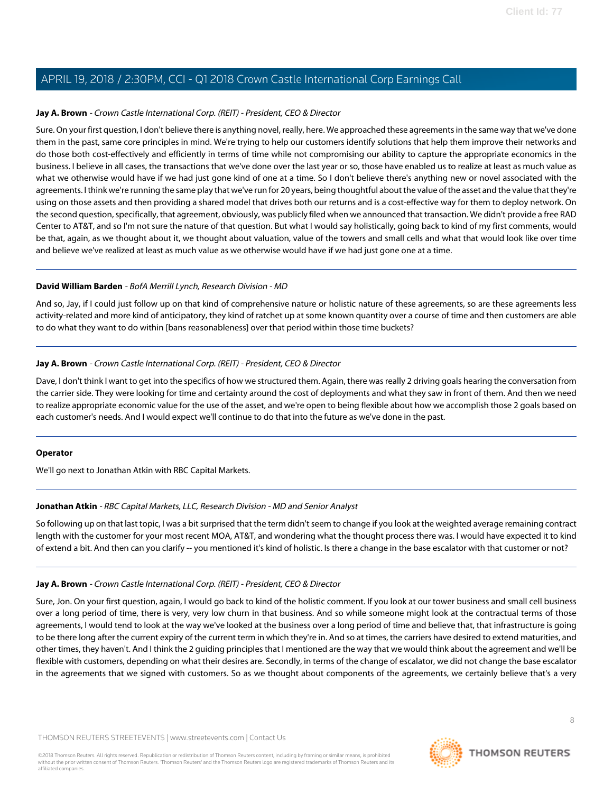#### **Jay A. Brown** - Crown Castle International Corp. (REIT) - President, CEO & Director

Sure. On your first question, I don't believe there is anything novel, really, here. We approached these agreements in the same way that we've done them in the past, same core principles in mind. We're trying to help our customers identify solutions that help them improve their networks and do those both cost-effectively and efficiently in terms of time while not compromising our ability to capture the appropriate economics in the business. I believe in all cases, the transactions that we've done over the last year or so, those have enabled us to realize at least as much value as what we otherwise would have if we had just gone kind of one at a time. So I don't believe there's anything new or novel associated with the agreements. I think we're running the same play that we've run for 20 years, being thoughtful about the value of the asset and the value that they're using on those assets and then providing a shared model that drives both our returns and is a cost-effective way for them to deploy network. On the second question, specifically, that agreement, obviously, was publicly filed when we announced that transaction. We didn't provide a free RAD Center to AT&T, and so I'm not sure the nature of that question. But what I would say holistically, going back to kind of my first comments, would be that, again, as we thought about it, we thought about valuation, value of the towers and small cells and what that would look like over time and believe we've realized at least as much value as we otherwise would have if we had just gone one at a time.

#### **David William Barden** - BofA Merrill Lynch, Research Division - MD

And so, Jay, if I could just follow up on that kind of comprehensive nature or holistic nature of these agreements, so are these agreements less activity-related and more kind of anticipatory, they kind of ratchet up at some known quantity over a course of time and then customers are able to do what they want to do within [bans reasonableness] over that period within those time buckets?

#### **Jay A. Brown** - Crown Castle International Corp. (REIT) - President, CEO & Director

Dave, I don't think I want to get into the specifics of how we structured them. Again, there was really 2 driving goals hearing the conversation from the carrier side. They were looking for time and certainty around the cost of deployments and what they saw in front of them. And then we need to realize appropriate economic value for the use of the asset, and we're open to being flexible about how we accomplish those 2 goals based on each customer's needs. And I would expect we'll continue to do that into the future as we've done in the past.

# <span id="page-7-0"></span>**Operator**

We'll go next to Jonathan Atkin with RBC Capital Markets.

# **Jonathan Atkin** - RBC Capital Markets, LLC, Research Division - MD and Senior Analyst

So following up on that last topic, I was a bit surprised that the term didn't seem to change if you look at the weighted average remaining contract length with the customer for your most recent MOA, AT&T, and wondering what the thought process there was. I would have expected it to kind of extend a bit. And then can you clarify -- you mentioned it's kind of holistic. Is there a change in the base escalator with that customer or not?

# **Jay A. Brown** - Crown Castle International Corp. (REIT) - President, CEO & Director

Sure, Jon. On your first question, again, I would go back to kind of the holistic comment. If you look at our tower business and small cell business over a long period of time, there is very, very low churn in that business. And so while someone might look at the contractual terms of those agreements, I would tend to look at the way we've looked at the business over a long period of time and believe that, that infrastructure is going to be there long after the current expiry of the current term in which they're in. And so at times, the carriers have desired to extend maturities, and other times, they haven't. And I think the 2 guiding principles that I mentioned are the way that we would think about the agreement and we'll be flexible with customers, depending on what their desires are. Secondly, in terms of the change of escalator, we did not change the base escalator in the agreements that we signed with customers. So as we thought about components of the agreements, we certainly believe that's a very

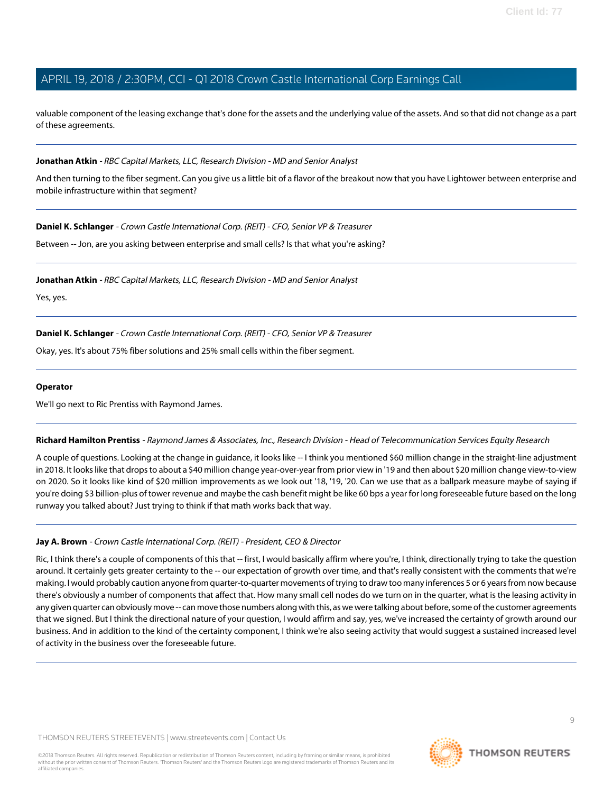valuable component of the leasing exchange that's done for the assets and the underlying value of the assets. And so that did not change as a part of these agreements.

#### **Jonathan Atkin** - RBC Capital Markets, LLC, Research Division - MD and Senior Analyst

And then turning to the fiber segment. Can you give us a little bit of a flavor of the breakout now that you have Lightower between enterprise and mobile infrastructure within that segment?

**Daniel K. Schlanger** - Crown Castle International Corp. (REIT) - CFO, Senior VP & Treasurer

Between -- Jon, are you asking between enterprise and small cells? Is that what you're asking?

**Jonathan Atkin** - RBC Capital Markets, LLC, Research Division - MD and Senior Analyst

Yes, yes.

# **Daniel K. Schlanger** - Crown Castle International Corp. (REIT) - CFO, Senior VP & Treasurer

Okay, yes. It's about 75% fiber solutions and 25% small cells within the fiber segment.

#### **Operator**

<span id="page-8-0"></span>We'll go next to Ric Prentiss with Raymond James.

**Richard Hamilton Prentiss** - Raymond James & Associates, Inc., Research Division - Head of Telecommunication Services Equity Research

A couple of questions. Looking at the change in guidance, it looks like -- I think you mentioned \$60 million change in the straight-line adjustment in 2018. It looks like that drops to about a \$40 million change year-over-year from prior view in '19 and then about \$20 million change view-to-view on 2020. So it looks like kind of \$20 million improvements as we look out '18, '19, '20. Can we use that as a ballpark measure maybe of saying if you're doing \$3 billion-plus of tower revenue and maybe the cash benefit might be like 60 bps a year for long foreseeable future based on the long runway you talked about? Just trying to think if that math works back that way.

#### **Jay A. Brown** - Crown Castle International Corp. (REIT) - President, CEO & Director

Ric, I think there's a couple of components of this that -- first, I would basically affirm where you're, I think, directionally trying to take the question around. It certainly gets greater certainty to the -- our expectation of growth over time, and that's really consistent with the comments that we're making. I would probably caution anyone from quarter-to-quarter movements of trying to draw too many inferences 5 or 6 years from now because there's obviously a number of components that affect that. How many small cell nodes do we turn on in the quarter, what is the leasing activity in any given quarter can obviously move -- can move those numbers along with this, as we were talking about before, some of the customer agreements that we signed. But I think the directional nature of your question, I would affirm and say, yes, we've increased the certainty of growth around our business. And in addition to the kind of the certainty component, I think we're also seeing activity that would suggest a sustained increased level of activity in the business over the foreseeable future.

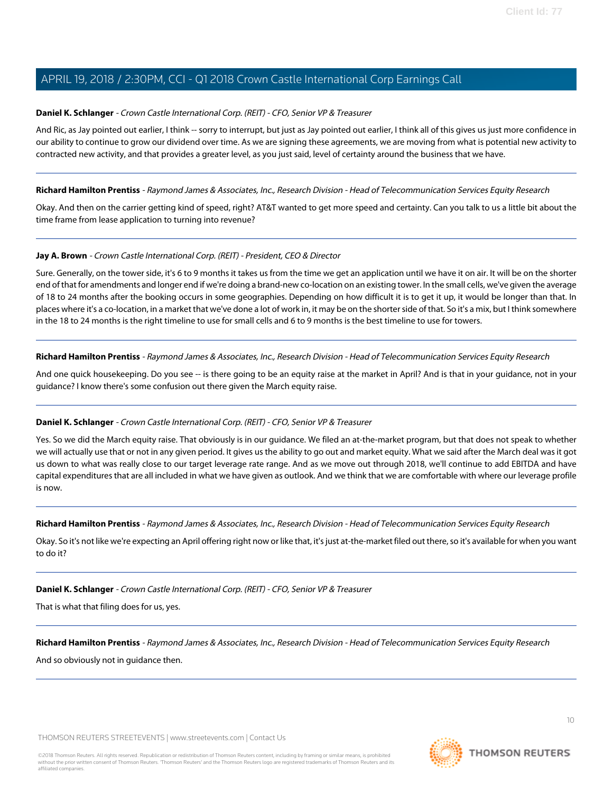#### **Daniel K. Schlanger** - Crown Castle International Corp. (REIT) - CFO, Senior VP & Treasurer

And Ric, as Jay pointed out earlier, I think -- sorry to interrupt, but just as Jay pointed out earlier, I think all of this gives us just more confidence in our ability to continue to grow our dividend over time. As we are signing these agreements, we are moving from what is potential new activity to contracted new activity, and that provides a greater level, as you just said, level of certainty around the business that we have.

**Richard Hamilton Prentiss** - Raymond James & Associates, Inc., Research Division - Head of Telecommunication Services Equity Research

Okay. And then on the carrier getting kind of speed, right? AT&T wanted to get more speed and certainty. Can you talk to us a little bit about the time frame from lease application to turning into revenue?

#### **Jay A. Brown** - Crown Castle International Corp. (REIT) - President, CEO & Director

Sure. Generally, on the tower side, it's 6 to 9 months it takes us from the time we get an application until we have it on air. It will be on the shorter end of that for amendments and longer end if we're doing a brand-new co-location on an existing tower. In the small cells, we've given the average of 18 to 24 months after the booking occurs in some geographies. Depending on how difficult it is to get it up, it would be longer than that. In places where it's a co-location, in a market that we've done a lot of work in, it may be on the shorter side of that. So it's a mix, but I think somewhere in the 18 to 24 months is the right timeline to use for small cells and 6 to 9 months is the best timeline to use for towers.

**Richard Hamilton Prentiss** - Raymond James & Associates, Inc., Research Division - Head of Telecommunication Services Equity Research

And one quick housekeeping. Do you see -- is there going to be an equity raise at the market in April? And is that in your guidance, not in your guidance? I know there's some confusion out there given the March equity raise.

# **Daniel K. Schlanger** - Crown Castle International Corp. (REIT) - CFO, Senior VP & Treasurer

Yes. So we did the March equity raise. That obviously is in our guidance. We filed an at-the-market program, but that does not speak to whether we will actually use that or not in any given period. It gives us the ability to go out and market equity. What we said after the March deal was it got us down to what was really close to our target leverage rate range. And as we move out through 2018, we'll continue to add EBITDA and have capital expenditures that are all included in what we have given as outlook. And we think that we are comfortable with where our leverage profile is now.

**Richard Hamilton Prentiss** - Raymond James & Associates, Inc., Research Division - Head of Telecommunication Services Equity Research

Okay. So it's not like we're expecting an April offering right now or like that, it's just at-the-market filed out there, so it's available for when you want to do it?

**Daniel K. Schlanger** - Crown Castle International Corp. (REIT) - CFO, Senior VP & Treasurer

That is what that filing does for us, yes.

**Richard Hamilton Prentiss** - Raymond James & Associates, Inc., Research Division - Head of Telecommunication Services Equity Research

And so obviously not in guidance then.

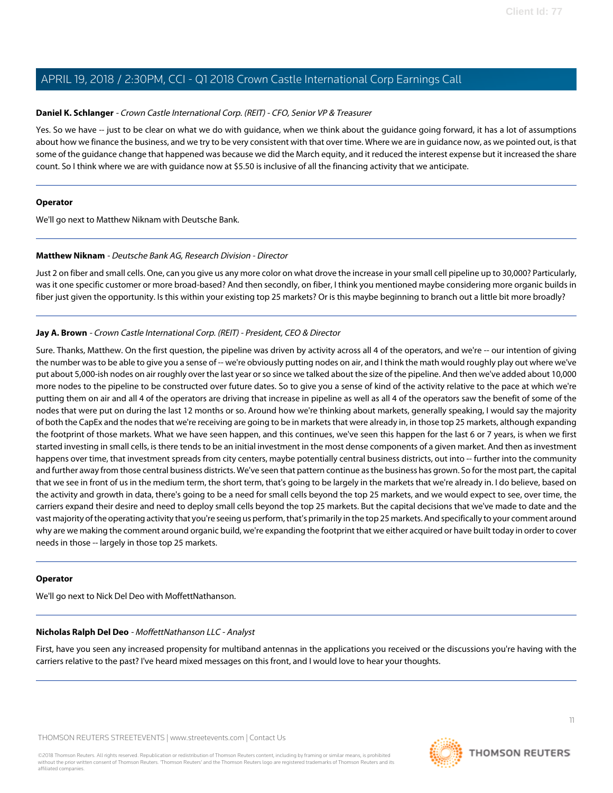#### **Daniel K. Schlanger** - Crown Castle International Corp. (REIT) - CFO, Senior VP & Treasurer

Yes. So we have -- just to be clear on what we do with guidance, when we think about the guidance going forward, it has a lot of assumptions about how we finance the business, and we try to be very consistent with that over time. Where we are in guidance now, as we pointed out, is that some of the guidance change that happened was because we did the March equity, and it reduced the interest expense but it increased the share count. So I think where we are with guidance now at \$5.50 is inclusive of all the financing activity that we anticipate.

#### **Operator**

<span id="page-10-0"></span>We'll go next to Matthew Niknam with Deutsche Bank.

#### **Matthew Niknam** - Deutsche Bank AG, Research Division - Director

Just 2 on fiber and small cells. One, can you give us any more color on what drove the increase in your small cell pipeline up to 30,000? Particularly, was it one specific customer or more broad-based? And then secondly, on fiber, I think you mentioned maybe considering more organic builds in fiber just given the opportunity. Is this within your existing top 25 markets? Or is this maybe beginning to branch out a little bit more broadly?

#### **Jay A. Brown** - Crown Castle International Corp. (REIT) - President, CEO & Director

Sure. Thanks, Matthew. On the first question, the pipeline was driven by activity across all 4 of the operators, and we're -- our intention of giving the number was to be able to give you a sense of -- we're obviously putting nodes on air, and I think the math would roughly play out where we've put about 5,000-ish nodes on air roughly over the last year or so since we talked about the size of the pipeline. And then we've added about 10,000 more nodes to the pipeline to be constructed over future dates. So to give you a sense of kind of the activity relative to the pace at which we're putting them on air and all 4 of the operators are driving that increase in pipeline as well as all 4 of the operators saw the benefit of some of the nodes that were put on during the last 12 months or so. Around how we're thinking about markets, generally speaking, I would say the majority of both the CapEx and the nodes that we're receiving are going to be in markets that were already in, in those top 25 markets, although expanding the footprint of those markets. What we have seen happen, and this continues, we've seen this happen for the last 6 or 7 years, is when we first started investing in small cells, is there tends to be an initial investment in the most dense components of a given market. And then as investment happens over time, that investment spreads from city centers, maybe potentially central business districts, out into -- further into the community and further away from those central business districts. We've seen that pattern continue as the business has grown. So for the most part, the capital that we see in front of us in the medium term, the short term, that's going to be largely in the markets that we're already in. I do believe, based on the activity and growth in data, there's going to be a need for small cells beyond the top 25 markets, and we would expect to see, over time, the carriers expand their desire and need to deploy small cells beyond the top 25 markets. But the capital decisions that we've made to date and the vast majority of the operating activity that you're seeing us perform, that's primarily in the top 25 markets. And specifically to your comment around why are we making the comment around organic build, we're expanding the footprint that we either acquired or have built today in order to cover needs in those -- largely in those top 25 markets.

#### <span id="page-10-1"></span>**Operator**

We'll go next to Nick Del Deo with MoffettNathanson.

#### **Nicholas Ralph Del Deo** - MoffettNathanson LLC - Analyst

First, have you seen any increased propensity for multiband antennas in the applications you received or the discussions you're having with the carriers relative to the past? I've heard mixed messages on this front, and I would love to hear your thoughts.

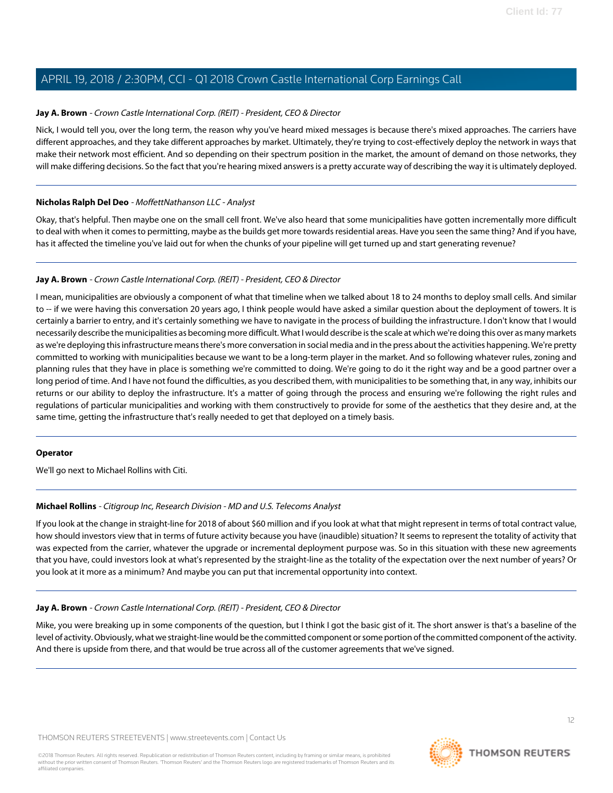#### **Jay A. Brown** - Crown Castle International Corp. (REIT) - President, CEO & Director

Nick, I would tell you, over the long term, the reason why you've heard mixed messages is because there's mixed approaches. The carriers have different approaches, and they take different approaches by market. Ultimately, they're trying to cost-effectively deploy the network in ways that make their network most efficient. And so depending on their spectrum position in the market, the amount of demand on those networks, they will make differing decisions. So the fact that you're hearing mixed answers is a pretty accurate way of describing the way it is ultimately deployed.

#### **Nicholas Ralph Del Deo** - MoffettNathanson LLC - Analyst

Okay, that's helpful. Then maybe one on the small cell front. We've also heard that some municipalities have gotten incrementally more difficult to deal with when it comes to permitting, maybe as the builds get more towards residential areas. Have you seen the same thing? And if you have, has it affected the timeline you've laid out for when the chunks of your pipeline will get turned up and start generating revenue?

#### **Jay A. Brown** - Crown Castle International Corp. (REIT) - President, CEO & Director

I mean, municipalities are obviously a component of what that timeline when we talked about 18 to 24 months to deploy small cells. And similar to -- if we were having this conversation 20 years ago, I think people would have asked a similar question about the deployment of towers. It is certainly a barrier to entry, and it's certainly something we have to navigate in the process of building the infrastructure. I don't know that I would necessarily describe the municipalities as becoming more difficult. What I would describe is the scale at which we're doing this over as many markets as we're deploying this infrastructure means there's more conversation in social media and in the press about the activities happening. We're pretty committed to working with municipalities because we want to be a long-term player in the market. And so following whatever rules, zoning and planning rules that they have in place is something we're committed to doing. We're going to do it the right way and be a good partner over a long period of time. And I have not found the difficulties, as you described them, with municipalities to be something that, in any way, inhibits our returns or our ability to deploy the infrastructure. It's a matter of going through the process and ensuring we're following the right rules and regulations of particular municipalities and working with them constructively to provide for some of the aesthetics that they desire and, at the same time, getting the infrastructure that's really needed to get that deployed on a timely basis.

#### <span id="page-11-0"></span>**Operator**

We'll go next to Michael Rollins with Citi.

# **Michael Rollins** - Citigroup Inc, Research Division - MD and U.S. Telecoms Analyst

If you look at the change in straight-line for 2018 of about \$60 million and if you look at what that might represent in terms of total contract value, how should investors view that in terms of future activity because you have (inaudible) situation? It seems to represent the totality of activity that was expected from the carrier, whatever the upgrade or incremental deployment purpose was. So in this situation with these new agreements that you have, could investors look at what's represented by the straight-line as the totality of the expectation over the next number of years? Or you look at it more as a minimum? And maybe you can put that incremental opportunity into context.

#### **Jay A. Brown** - Crown Castle International Corp. (REIT) - President, CEO & Director

Mike, you were breaking up in some components of the question, but I think I got the basic gist of it. The short answer is that's a baseline of the level of activity. Obviously, what we straight-line would be the committed component or some portion of the committed component of the activity. And there is upside from there, and that would be true across all of the customer agreements that we've signed.

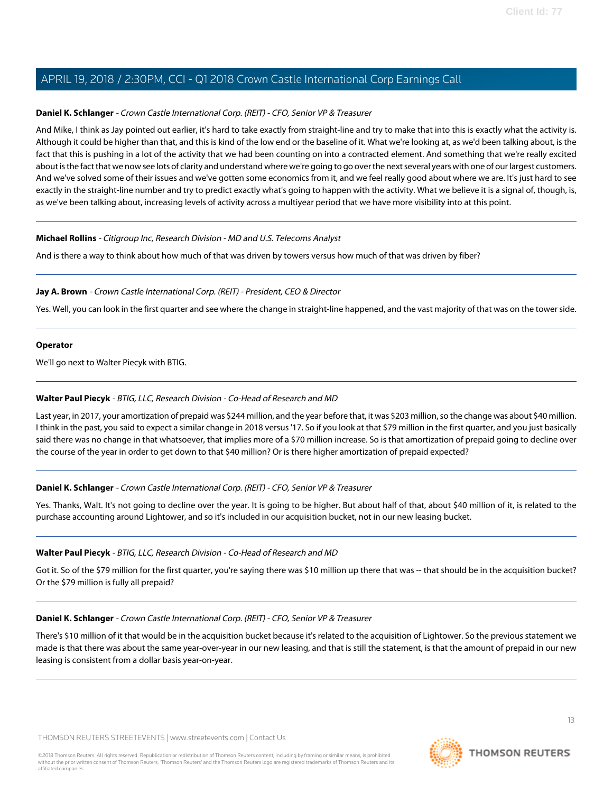## **Daniel K. Schlanger** - Crown Castle International Corp. (REIT) - CFO, Senior VP & Treasurer

And Mike, I think as Jay pointed out earlier, it's hard to take exactly from straight-line and try to make that into this is exactly what the activity is. Although it could be higher than that, and this is kind of the low end or the baseline of it. What we're looking at, as we'd been talking about, is the fact that this is pushing in a lot of the activity that we had been counting on into a contracted element. And something that we're really excited about is the fact that we now see lots of clarity and understand where we're going to go over the next several years with one of our largest customers. And we've solved some of their issues and we've gotten some economics from it, and we feel really good about where we are. It's just hard to see exactly in the straight-line number and try to predict exactly what's going to happen with the activity. What we believe it is a signal of, though, is, as we've been talking about, increasing levels of activity across a multiyear period that we have more visibility into at this point.

#### **Michael Rollins** - Citigroup Inc, Research Division - MD and U.S. Telecoms Analyst

And is there a way to think about how much of that was driven by towers versus how much of that was driven by fiber?

#### **Jay A. Brown** - Crown Castle International Corp. (REIT) - President, CEO & Director

Yes. Well, you can look in the first quarter and see where the change in straight-line happened, and the vast majority of that was on the tower side.

#### **Operator**

<span id="page-12-0"></span>We'll go next to Walter Piecyk with BTIG.

#### **Walter Paul Piecyk** - BTIG, LLC, Research Division - Co-Head of Research and MD

Last year, in 2017, your amortization of prepaid was \$244 million, and the year before that, it was \$203 million, so the change was about \$40 million. I think in the past, you said to expect a similar change in 2018 versus '17. So if you look at that \$79 million in the first quarter, and you just basically said there was no change in that whatsoever, that implies more of a \$70 million increase. So is that amortization of prepaid going to decline over the course of the year in order to get down to that \$40 million? Or is there higher amortization of prepaid expected?

# **Daniel K. Schlanger** - Crown Castle International Corp. (REIT) - CFO, Senior VP & Treasurer

Yes. Thanks, Walt. It's not going to decline over the year. It is going to be higher. But about half of that, about \$40 million of it, is related to the purchase accounting around Lightower, and so it's included in our acquisition bucket, not in our new leasing bucket.

#### **Walter Paul Piecyk** - BTIG, LLC, Research Division - Co-Head of Research and MD

Got it. So of the \$79 million for the first quarter, you're saying there was \$10 million up there that was -- that should be in the acquisition bucket? Or the \$79 million is fully all prepaid?

#### **Daniel K. Schlanger** - Crown Castle International Corp. (REIT) - CFO, Senior VP & Treasurer

There's \$10 million of it that would be in the acquisition bucket because it's related to the acquisition of Lightower. So the previous statement we made is that there was about the same year-over-year in our new leasing, and that is still the statement, is that the amount of prepaid in our new leasing is consistent from a dollar basis year-on-year.

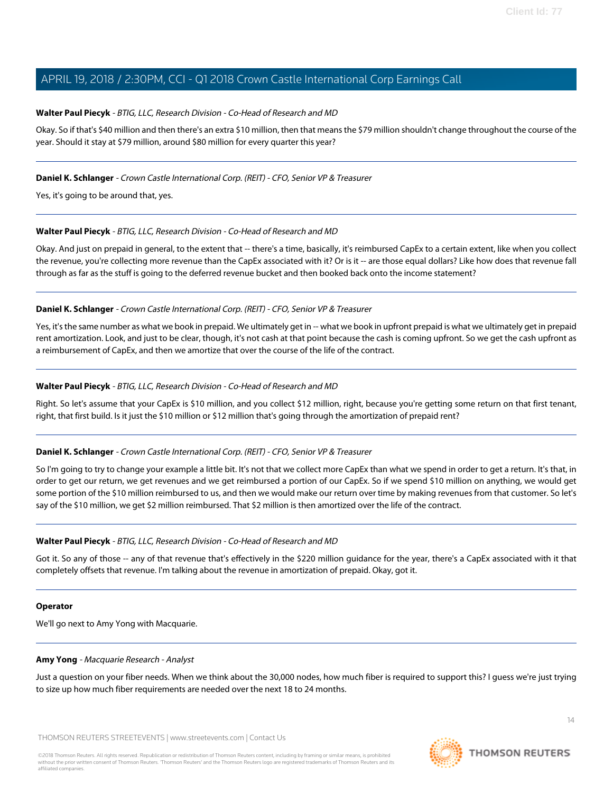#### **Walter Paul Piecyk** - BTIG, LLC, Research Division - Co-Head of Research and MD

Okay. So if that's \$40 million and then there's an extra \$10 million, then that means the \$79 million shouldn't change throughout the course of the year. Should it stay at \$79 million, around \$80 million for every quarter this year?

#### **Daniel K. Schlanger** - Crown Castle International Corp. (REIT) - CFO, Senior VP & Treasurer

Yes, it's going to be around that, yes.

#### **Walter Paul Piecyk** - BTIG, LLC, Research Division - Co-Head of Research and MD

Okay. And just on prepaid in general, to the extent that -- there's a time, basically, it's reimbursed CapEx to a certain extent, like when you collect the revenue, you're collecting more revenue than the CapEx associated with it? Or is it -- are those equal dollars? Like how does that revenue fall through as far as the stuff is going to the deferred revenue bucket and then booked back onto the income statement?

#### **Daniel K. Schlanger** - Crown Castle International Corp. (REIT) - CFO, Senior VP & Treasurer

Yes, it's the same number as what we book in prepaid. We ultimately get in -- what we book in upfront prepaid is what we ultimately get in prepaid rent amortization. Look, and just to be clear, though, it's not cash at that point because the cash is coming upfront. So we get the cash upfront as a reimbursement of CapEx, and then we amortize that over the course of the life of the contract.

#### **Walter Paul Piecyk** - BTIG, LLC, Research Division - Co-Head of Research and MD

Right. So let's assume that your CapEx is \$10 million, and you collect \$12 million, right, because you're getting some return on that first tenant, right, that first build. Is it just the \$10 million or \$12 million that's going through the amortization of prepaid rent?

# **Daniel K. Schlanger** - Crown Castle International Corp. (REIT) - CFO, Senior VP & Treasurer

So I'm going to try to change your example a little bit. It's not that we collect more CapEx than what we spend in order to get a return. It's that, in order to get our return, we get revenues and we get reimbursed a portion of our CapEx. So if we spend \$10 million on anything, we would get some portion of the \$10 million reimbursed to us, and then we would make our return over time by making revenues from that customer. So let's say of the \$10 million, we get \$2 million reimbursed. That \$2 million is then amortized over the life of the contract.

#### **Walter Paul Piecyk** - BTIG, LLC, Research Division - Co-Head of Research and MD

Got it. So any of those -- any of that revenue that's effectively in the \$220 million guidance for the year, there's a CapEx associated with it that completely offsets that revenue. I'm talking about the revenue in amortization of prepaid. Okay, got it.

#### <span id="page-13-0"></span>**Operator**

We'll go next to Amy Yong with Macquarie.

#### **Amy Yong** - Macquarie Research - Analyst

Just a question on your fiber needs. When we think about the 30,000 nodes, how much fiber is required to support this? I guess we're just trying to size up how much fiber requirements are needed over the next 18 to 24 months.

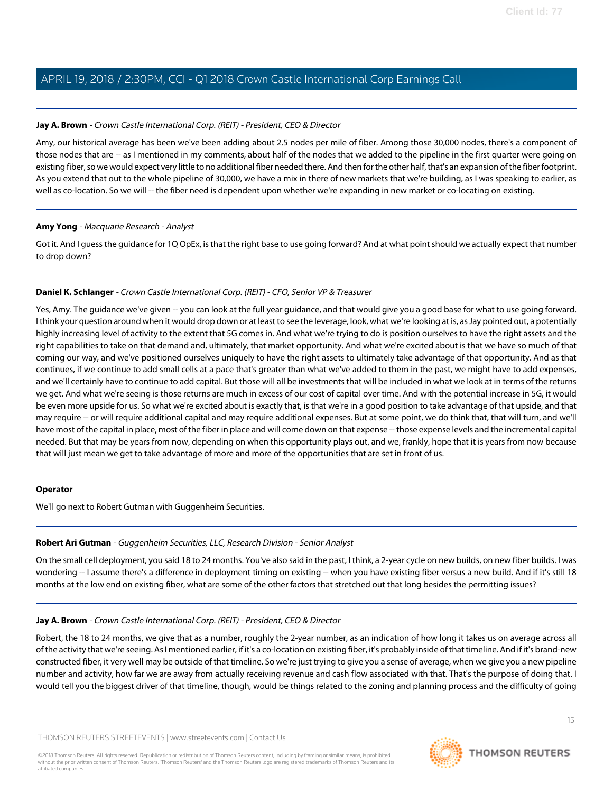#### **Jay A. Brown** - Crown Castle International Corp. (REIT) - President, CEO & Director

Amy, our historical average has been we've been adding about 2.5 nodes per mile of fiber. Among those 30,000 nodes, there's a component of those nodes that are -- as I mentioned in my comments, about half of the nodes that we added to the pipeline in the first quarter were going on existing fiber, so we would expect very little to no additional fiber needed there. And then for the other half, that's an expansion of the fiber footprint. As you extend that out to the whole pipeline of 30,000, we have a mix in there of new markets that we're building, as I was speaking to earlier, as well as co-location. So we will -- the fiber need is dependent upon whether we're expanding in new market or co-locating on existing.

#### **Amy Yong** - Macquarie Research - Analyst

Got it. And I guess the guidance for 1Q OpEx, is that the right base to use going forward? And at what point should we actually expect that number to drop down?

# **Daniel K. Schlanger** - Crown Castle International Corp. (REIT) - CFO, Senior VP & Treasurer

Yes, Amy. The guidance we've given -- you can look at the full year guidance, and that would give you a good base for what to use going forward. I think your question around when it would drop down or at least to see the leverage, look, what we're looking at is, as Jay pointed out, a potentially highly increasing level of activity to the extent that 5G comes in. And what we're trying to do is position ourselves to have the right assets and the right capabilities to take on that demand and, ultimately, that market opportunity. And what we're excited about is that we have so much of that coming our way, and we've positioned ourselves uniquely to have the right assets to ultimately take advantage of that opportunity. And as that continues, if we continue to add small cells at a pace that's greater than what we've added to them in the past, we might have to add expenses, and we'll certainly have to continue to add capital. But those will all be investments that will be included in what we look at in terms of the returns we get. And what we're seeing is those returns are much in excess of our cost of capital over time. And with the potential increase in 5G, it would be even more upside for us. So what we're excited about is exactly that, is that we're in a good position to take advantage of that upside, and that may require -- or will require additional capital and may require additional expenses. But at some point, we do think that, that will turn, and we'll have most of the capital in place, most of the fiber in place and will come down on that expense -- those expense levels and the incremental capital needed. But that may be years from now, depending on when this opportunity plays out, and we, frankly, hope that it is years from now because that will just mean we get to take advantage of more and more of the opportunities that are set in front of us.

#### <span id="page-14-0"></span>**Operator**

We'll go next to Robert Gutman with Guggenheim Securities.

# **Robert Ari Gutman** - Guggenheim Securities, LLC, Research Division - Senior Analyst

On the small cell deployment, you said 18 to 24 months. You've also said in the past, I think, a 2-year cycle on new builds, on new fiber builds. I was wondering -- I assume there's a difference in deployment timing on existing -- when you have existing fiber versus a new build. And if it's still 18 months at the low end on existing fiber, what are some of the other factors that stretched out that long besides the permitting issues?

# **Jay A. Brown** - Crown Castle International Corp. (REIT) - President, CEO & Director

Robert, the 18 to 24 months, we give that as a number, roughly the 2-year number, as an indication of how long it takes us on average across all of the activity that we're seeing. As I mentioned earlier, if it's a co-location on existing fiber, it's probably inside of that timeline. And if it's brand-new constructed fiber, it very well may be outside of that timeline. So we're just trying to give you a sense of average, when we give you a new pipeline number and activity, how far we are away from actually receiving revenue and cash flow associated with that. That's the purpose of doing that. I would tell you the biggest driver of that timeline, though, would be things related to the zoning and planning process and the difficulty of going

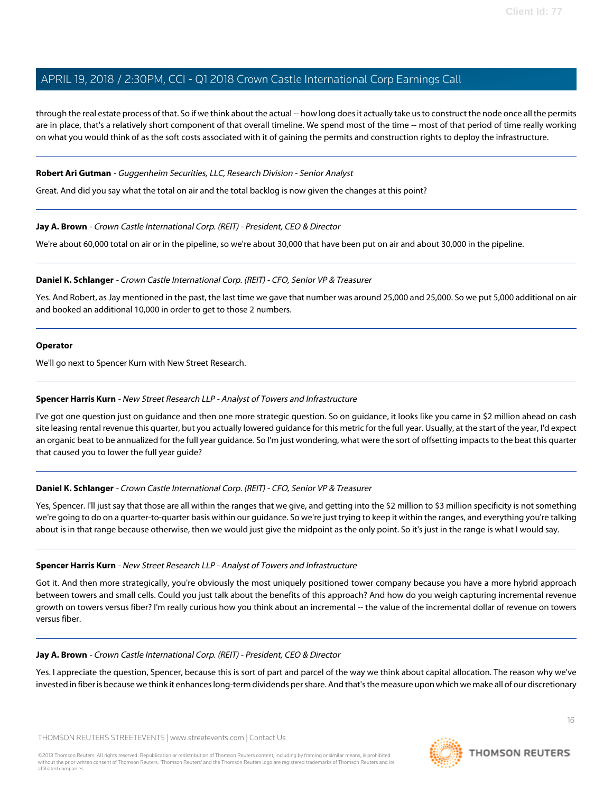through the real estate process of that. So if we think about the actual -- how long does it actually take us to construct the node once all the permits are in place, that's a relatively short component of that overall timeline. We spend most of the time -- most of that period of time really working on what you would think of as the soft costs associated with it of gaining the permits and construction rights to deploy the infrastructure.

#### **Robert Ari Gutman** - Guggenheim Securities, LLC, Research Division - Senior Analyst

Great. And did you say what the total on air and the total backlog is now given the changes at this point?

#### **Jay A. Brown** - Crown Castle International Corp. (REIT) - President, CEO & Director

We're about 60,000 total on air or in the pipeline, so we're about 30,000 that have been put on air and about 30,000 in the pipeline.

## **Daniel K. Schlanger** - Crown Castle International Corp. (REIT) - CFO, Senior VP & Treasurer

Yes. And Robert, as Jay mentioned in the past, the last time we gave that number was around 25,000 and 25,000. So we put 5,000 additional on air and booked an additional 10,000 in order to get to those 2 numbers.

#### **Operator**

<span id="page-15-0"></span>We'll go next to Spencer Kurn with New Street Research.

#### **Spencer Harris Kurn** - New Street Research LLP - Analyst of Towers and Infrastructure

I've got one question just on guidance and then one more strategic question. So on guidance, it looks like you came in \$2 million ahead on cash site leasing rental revenue this quarter, but you actually lowered guidance for this metric for the full year. Usually, at the start of the year, I'd expect an organic beat to be annualized for the full year guidance. So I'm just wondering, what were the sort of offsetting impacts to the beat this quarter that caused you to lower the full year guide?

# **Daniel K. Schlanger** - Crown Castle International Corp. (REIT) - CFO, Senior VP & Treasurer

Yes, Spencer. I'll just say that those are all within the ranges that we give, and getting into the \$2 million to \$3 million specificity is not something we're going to do on a quarter-to-quarter basis within our guidance. So we're just trying to keep it within the ranges, and everything you're talking about is in that range because otherwise, then we would just give the midpoint as the only point. So it's just in the range is what I would say.

#### **Spencer Harris Kurn** - New Street Research LLP - Analyst of Towers and Infrastructure

Got it. And then more strategically, you're obviously the most uniquely positioned tower company because you have a more hybrid approach between towers and small cells. Could you just talk about the benefits of this approach? And how do you weigh capturing incremental revenue growth on towers versus fiber? I'm really curious how you think about an incremental -- the value of the incremental dollar of revenue on towers versus fiber.

#### **Jay A. Brown** - Crown Castle International Corp. (REIT) - President, CEO & Director

Yes. I appreciate the question, Spencer, because this is sort of part and parcel of the way we think about capital allocation. The reason why we've invested in fiber is because we think it enhances long-term dividends per share. And that's the measure upon which we make all of our discretionary

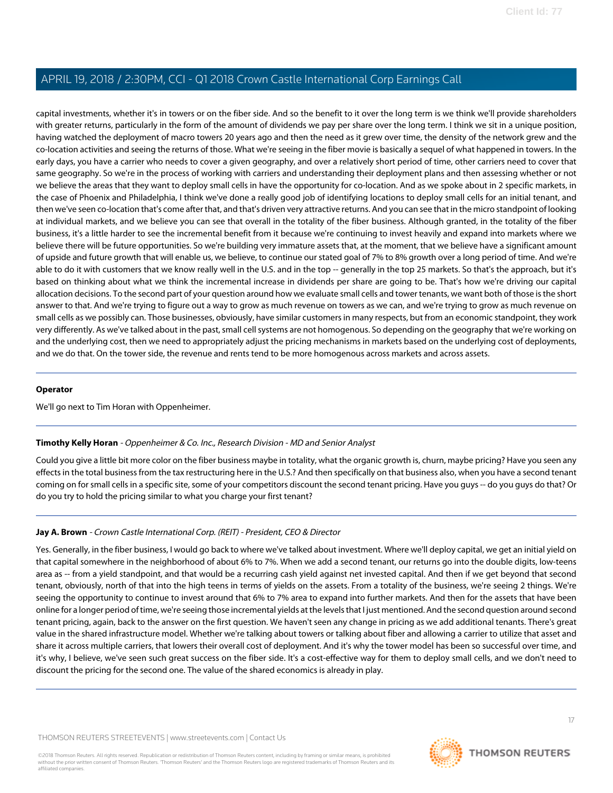capital investments, whether it's in towers or on the fiber side. And so the benefit to it over the long term is we think we'll provide shareholders with greater returns, particularly in the form of the amount of dividends we pay per share over the long term. I think we sit in a unique position, having watched the deployment of macro towers 20 years ago and then the need as it grew over time, the density of the network grew and the co-location activities and seeing the returns of those. What we're seeing in the fiber movie is basically a sequel of what happened in towers. In the early days, you have a carrier who needs to cover a given geography, and over a relatively short period of time, other carriers need to cover that same geography. So we're in the process of working with carriers and understanding their deployment plans and then assessing whether or not we believe the areas that they want to deploy small cells in have the opportunity for co-location. And as we spoke about in 2 specific markets, in the case of Phoenix and Philadelphia, I think we've done a really good job of identifying locations to deploy small cells for an initial tenant, and then we've seen co-location that's come after that, and that's driven very attractive returns. And you can see that in the micro standpoint of looking at individual markets, and we believe you can see that overall in the totality of the fiber business. Although granted, in the totality of the fiber business, it's a little harder to see the incremental benefit from it because we're continuing to invest heavily and expand into markets where we believe there will be future opportunities. So we're building very immature assets that, at the moment, that we believe have a significant amount of upside and future growth that will enable us, we believe, to continue our stated goal of 7% to 8% growth over a long period of time. And we're able to do it with customers that we know really well in the U.S. and in the top -- generally in the top 25 markets. So that's the approach, but it's based on thinking about what we think the incremental increase in dividends per share are going to be. That's how we're driving our capital allocation decisions. To the second part of your question around how we evaluate small cells and tower tenants, we want both of those is the short answer to that. And we're trying to figure out a way to grow as much revenue on towers as we can, and we're trying to grow as much revenue on small cells as we possibly can. Those businesses, obviously, have similar customers in many respects, but from an economic standpoint, they work very differently. As we've talked about in the past, small cell systems are not homogenous. So depending on the geography that we're working on and the underlying cost, then we need to appropriately adjust the pricing mechanisms in markets based on the underlying cost of deployments, and we do that. On the tower side, the revenue and rents tend to be more homogenous across markets and across assets.

#### **Operator**

<span id="page-16-0"></span>We'll go next to Tim Horan with Oppenheimer.

# **Timothy Kelly Horan** - Oppenheimer & Co. Inc., Research Division - MD and Senior Analyst

Could you give a little bit more color on the fiber business maybe in totality, what the organic growth is, churn, maybe pricing? Have you seen any effects in the total business from the tax restructuring here in the U.S.? And then specifically on that business also, when you have a second tenant coming on for small cells in a specific site, some of your competitors discount the second tenant pricing. Have you guys -- do you guys do that? Or do you try to hold the pricing similar to what you charge your first tenant?

# **Jay A. Brown** - Crown Castle International Corp. (REIT) - President, CEO & Director

Yes. Generally, in the fiber business, I would go back to where we've talked about investment. Where we'll deploy capital, we get an initial yield on that capital somewhere in the neighborhood of about 6% to 7%. When we add a second tenant, our returns go into the double digits, low-teens area as -- from a yield standpoint, and that would be a recurring cash yield against net invested capital. And then if we get beyond that second tenant, obviously, north of that into the high teens in terms of yields on the assets. From a totality of the business, we're seeing 2 things. We're seeing the opportunity to continue to invest around that 6% to 7% area to expand into further markets. And then for the assets that have been online for a longer period of time, we're seeing those incremental yields at the levels that I just mentioned. And the second question around second tenant pricing, again, back to the answer on the first question. We haven't seen any change in pricing as we add additional tenants. There's great value in the shared infrastructure model. Whether we're talking about towers or talking about fiber and allowing a carrier to utilize that asset and share it across multiple carriers, that lowers their overall cost of deployment. And it's why the tower model has been so successful over time, and it's why, I believe, we've seen such great success on the fiber side. It's a cost-effective way for them to deploy small cells, and we don't need to discount the pricing for the second one. The value of the shared economics is already in play.

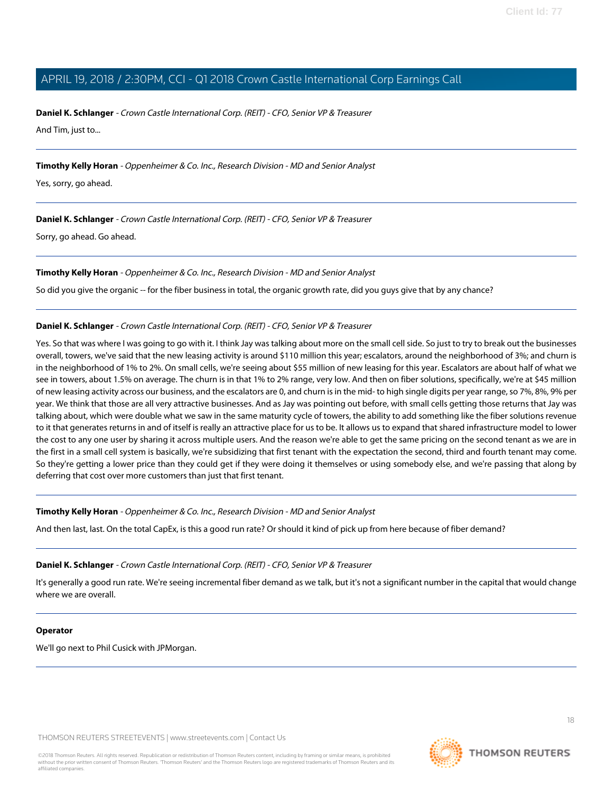**Daniel K. Schlanger** - Crown Castle International Corp. (REIT) - CFO, Senior VP & Treasurer And Tim, just to...

**Timothy Kelly Horan** - Oppenheimer & Co. Inc., Research Division - MD and Senior Analyst

Yes, sorry, go ahead.

**Daniel K. Schlanger** - Crown Castle International Corp. (REIT) - CFO, Senior VP & Treasurer

Sorry, go ahead. Go ahead.

**Timothy Kelly Horan** - Oppenheimer & Co. Inc., Research Division - MD and Senior Analyst

So did you give the organic -- for the fiber business in total, the organic growth rate, did you guys give that by any chance?

#### **Daniel K. Schlanger** - Crown Castle International Corp. (REIT) - CFO, Senior VP & Treasurer

Yes. So that was where I was going to go with it. I think Jay was talking about more on the small cell side. So just to try to break out the businesses overall, towers, we've said that the new leasing activity is around \$110 million this year; escalators, around the neighborhood of 3%; and churn is in the neighborhood of 1% to 2%. On small cells, we're seeing about \$55 million of new leasing for this year. Escalators are about half of what we see in towers, about 1.5% on average. The churn is in that 1% to 2% range, very low. And then on fiber solutions, specifically, we're at \$45 million of new leasing activity across our business, and the escalators are 0, and churn is in the mid- to high single digits per year range, so 7%, 8%, 9% per year. We think that those are all very attractive businesses. And as Jay was pointing out before, with small cells getting those returns that Jay was talking about, which were double what we saw in the same maturity cycle of towers, the ability to add something like the fiber solutions revenue to it that generates returns in and of itself is really an attractive place for us to be. It allows us to expand that shared infrastructure model to lower the cost to any one user by sharing it across multiple users. And the reason we're able to get the same pricing on the second tenant as we are in the first in a small cell system is basically, we're subsidizing that first tenant with the expectation the second, third and fourth tenant may come. So they're getting a lower price than they could get if they were doing it themselves or using somebody else, and we're passing that along by deferring that cost over more customers than just that first tenant.

**Timothy Kelly Horan** - Oppenheimer & Co. Inc., Research Division - MD and Senior Analyst

And then last, last. On the total CapEx, is this a good run rate? Or should it kind of pick up from here because of fiber demand?

#### **Daniel K. Schlanger** - Crown Castle International Corp. (REIT) - CFO, Senior VP & Treasurer

It's generally a good run rate. We're seeing incremental fiber demand as we talk, but it's not a significant number in the capital that would change where we are overall.

#### **Operator**

We'll go next to Phil Cusick with JPMorgan.

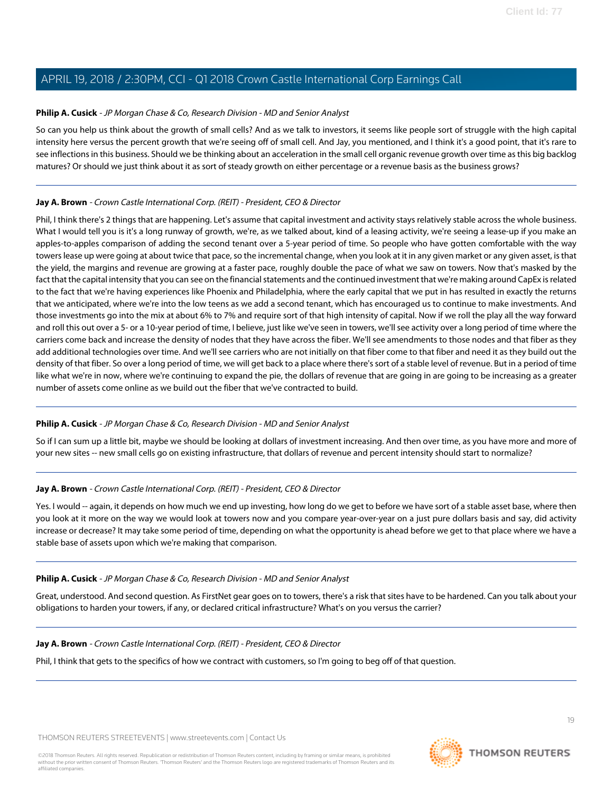# <span id="page-18-0"></span>**Philip A. Cusick** - JP Morgan Chase & Co, Research Division - MD and Senior Analyst

So can you help us think about the growth of small cells? And as we talk to investors, it seems like people sort of struggle with the high capital intensity here versus the percent growth that we're seeing off of small cell. And Jay, you mentioned, and I think it's a good point, that it's rare to see inflections in this business. Should we be thinking about an acceleration in the small cell organic revenue growth over time as this big backlog matures? Or should we just think about it as sort of steady growth on either percentage or a revenue basis as the business grows?

#### **Jay A. Brown** - Crown Castle International Corp. (REIT) - President, CEO & Director

Phil, I think there's 2 things that are happening. Let's assume that capital investment and activity stays relatively stable across the whole business. What I would tell you is it's a long runway of growth, we're, as we talked about, kind of a leasing activity, we're seeing a lease-up if you make an apples-to-apples comparison of adding the second tenant over a 5-year period of time. So people who have gotten comfortable with the way towers lease up were going at about twice that pace, so the incremental change, when you look at it in any given market or any given asset, is that the yield, the margins and revenue are growing at a faster pace, roughly double the pace of what we saw on towers. Now that's masked by the fact that the capital intensity that you can see on the financial statements and the continued investment that we're making around CapEx is related to the fact that we're having experiences like Phoenix and Philadelphia, where the early capital that we put in has resulted in exactly the returns that we anticipated, where we're into the low teens as we add a second tenant, which has encouraged us to continue to make investments. And those investments go into the mix at about 6% to 7% and require sort of that high intensity of capital. Now if we roll the play all the way forward and roll this out over a 5- or a 10-year period of time, I believe, just like we've seen in towers, we'll see activity over a long period of time where the carriers come back and increase the density of nodes that they have across the fiber. We'll see amendments to those nodes and that fiber as they add additional technologies over time. And we'll see carriers who are not initially on that fiber come to that fiber and need it as they build out the density of that fiber. So over a long period of time, we will get back to a place where there's sort of a stable level of revenue. But in a period of time like what we're in now, where we're continuing to expand the pie, the dollars of revenue that are going in are going to be increasing as a greater number of assets come online as we build out the fiber that we've contracted to build.

# **Philip A. Cusick** - JP Morgan Chase & Co, Research Division - MD and Senior Analyst

So if I can sum up a little bit, maybe we should be looking at dollars of investment increasing. And then over time, as you have more and more of your new sites -- new small cells go on existing infrastructure, that dollars of revenue and percent intensity should start to normalize?

# **Jay A. Brown** - Crown Castle International Corp. (REIT) - President, CEO & Director

Yes. I would -- again, it depends on how much we end up investing, how long do we get to before we have sort of a stable asset base, where then you look at it more on the way we would look at towers now and you compare year-over-year on a just pure dollars basis and say, did activity increase or decrease? It may take some period of time, depending on what the opportunity is ahead before we get to that place where we have a stable base of assets upon which we're making that comparison.

#### **Philip A. Cusick** - JP Morgan Chase & Co, Research Division - MD and Senior Analyst

Great, understood. And second question. As FirstNet gear goes on to towers, there's a risk that sites have to be hardened. Can you talk about your obligations to harden your towers, if any, or declared critical infrastructure? What's on you versus the carrier?

#### **Jay A. Brown** - Crown Castle International Corp. (REIT) - President, CEO & Director

Phil, I think that gets to the specifics of how we contract with customers, so I'm going to beg off of that question.

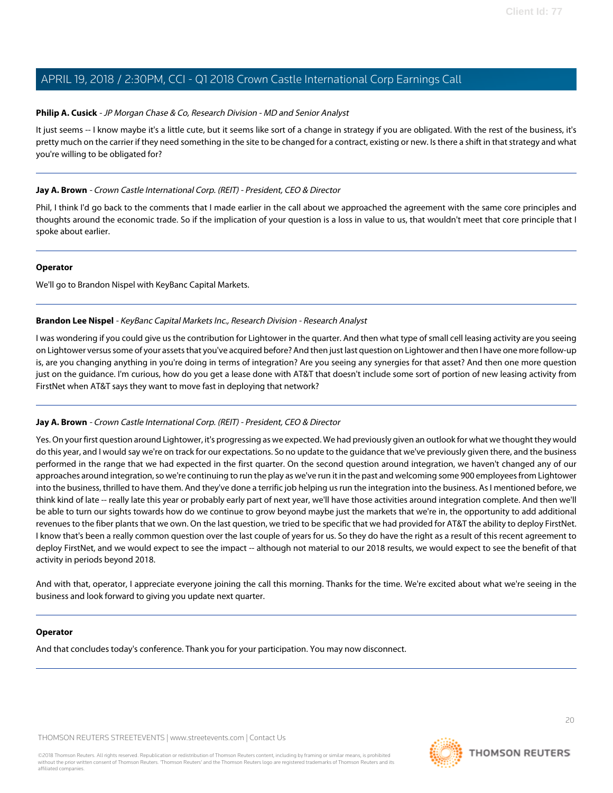#### **Philip A. Cusick** - JP Morgan Chase & Co, Research Division - MD and Senior Analyst

It just seems -- I know maybe it's a little cute, but it seems like sort of a change in strategy if you are obligated. With the rest of the business, it's pretty much on the carrier if they need something in the site to be changed for a contract, existing or new. Is there a shift in that strategy and what you're willing to be obligated for?

## **Jay A. Brown** - Crown Castle International Corp. (REIT) - President, CEO & Director

Phil, I think I'd go back to the comments that I made earlier in the call about we approached the agreement with the same core principles and thoughts around the economic trade. So if the implication of your question is a loss in value to us, that wouldn't meet that core principle that I spoke about earlier.

#### **Operator**

<span id="page-19-0"></span>We'll go to Brandon Nispel with KeyBanc Capital Markets.

#### **Brandon Lee Nispel** - KeyBanc Capital Markets Inc., Research Division - Research Analyst

I was wondering if you could give us the contribution for Lightower in the quarter. And then what type of small cell leasing activity are you seeing on Lightower versus some of your assets that you've acquired before? And then just last question on Lightower and then I have one more follow-up is, are you changing anything in you're doing in terms of integration? Are you seeing any synergies for that asset? And then one more question just on the guidance. I'm curious, how do you get a lease done with AT&T that doesn't include some sort of portion of new leasing activity from FirstNet when AT&T says they want to move fast in deploying that network?

# **Jay A. Brown** - Crown Castle International Corp. (REIT) - President, CEO & Director

Yes. On your first question around Lightower, it's progressing as we expected. We had previously given an outlook for what we thought they would do this year, and I would say we're on track for our expectations. So no update to the guidance that we've previously given there, and the business performed in the range that we had expected in the first quarter. On the second question around integration, we haven't changed any of our approaches around integration, so we're continuing to run the play as we've run it in the past and welcoming some 900 employees from Lightower into the business, thrilled to have them. And they've done a terrific job helping us run the integration into the business. As I mentioned before, we think kind of late -- really late this year or probably early part of next year, we'll have those activities around integration complete. And then we'll be able to turn our sights towards how do we continue to grow beyond maybe just the markets that we're in, the opportunity to add additional revenues to the fiber plants that we own. On the last question, we tried to be specific that we had provided for AT&T the ability to deploy FirstNet. I know that's been a really common question over the last couple of years for us. So they do have the right as a result of this recent agreement to deploy FirstNet, and we would expect to see the impact -- although not material to our 2018 results, we would expect to see the benefit of that activity in periods beyond 2018.

And with that, operator, I appreciate everyone joining the call this morning. Thanks for the time. We're excited about what we're seeing in the business and look forward to giving you update next quarter.

#### **Operator**

And that concludes today's conference. Thank you for your participation. You may now disconnect.



20